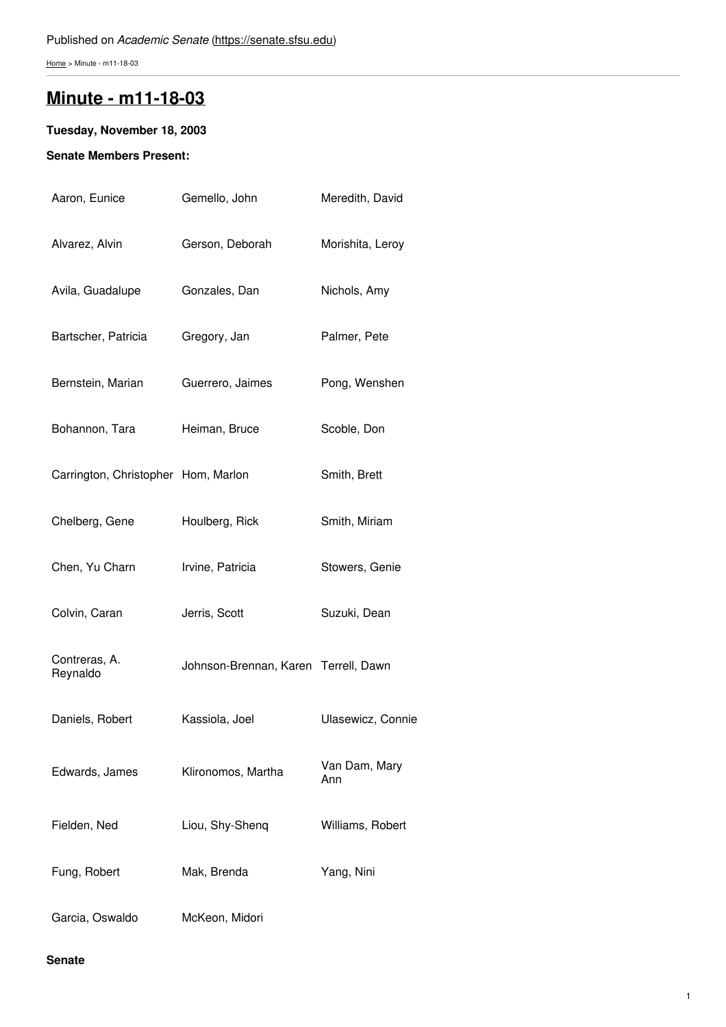[Home](https://senate.sfsu.edu/) > Minute - m11-18-03

# **Minute - [m11-18-03](https://senate.sfsu.edu/content/minute-m11-18-03)**

## **Tuesday, November 18, 2003**

## **Senate Members Present:**

| Aaron, Eunice                       | Gemello, John                        | Meredith, David      |
|-------------------------------------|--------------------------------------|----------------------|
| Alvarez, Alvin                      | Gerson, Deborah                      | Morishita, Leroy     |
| Avila, Guadalupe                    | Gonzales, Dan                        | Nichols, Amy         |
| Bartscher, Patricia                 | Gregory, Jan                         | Palmer, Pete         |
| Bernstein, Marian                   | Guerrero, Jaimes                     | Pong, Wenshen        |
| Bohannon, Tara                      | Heiman, Bruce                        | Scoble, Don          |
| Carrington, Christopher Hom, Marlon |                                      | Smith, Brett         |
| Chelberg, Gene                      | Houlberg, Rick                       | Smith, Miriam        |
| Chen, Yu Charn                      | Irvine, Patricia                     | Stowers, Genie       |
| Colvin, Caran                       | Jerris, Scott                        | Suzuki, Dean         |
| Contreras, A.<br>Reynaldo           | Johnson-Brennan, Karen Terrell, Dawn |                      |
| Daniels, Robert                     | Kassiola, Joel                       | Ulasewicz, Connie    |
| Edwards, James                      | Klironomos, Martha                   | Van Dam, Mary<br>Ann |
| Fielden, Ned                        | Liou, Shy-Shenq                      | Williams, Robert     |
| Fung, Robert                        | Mak, Brenda                          | Yang, Nini           |
| Garcia, Oswaldo                     | McKeon, Midori                       |                      |

## **Senate**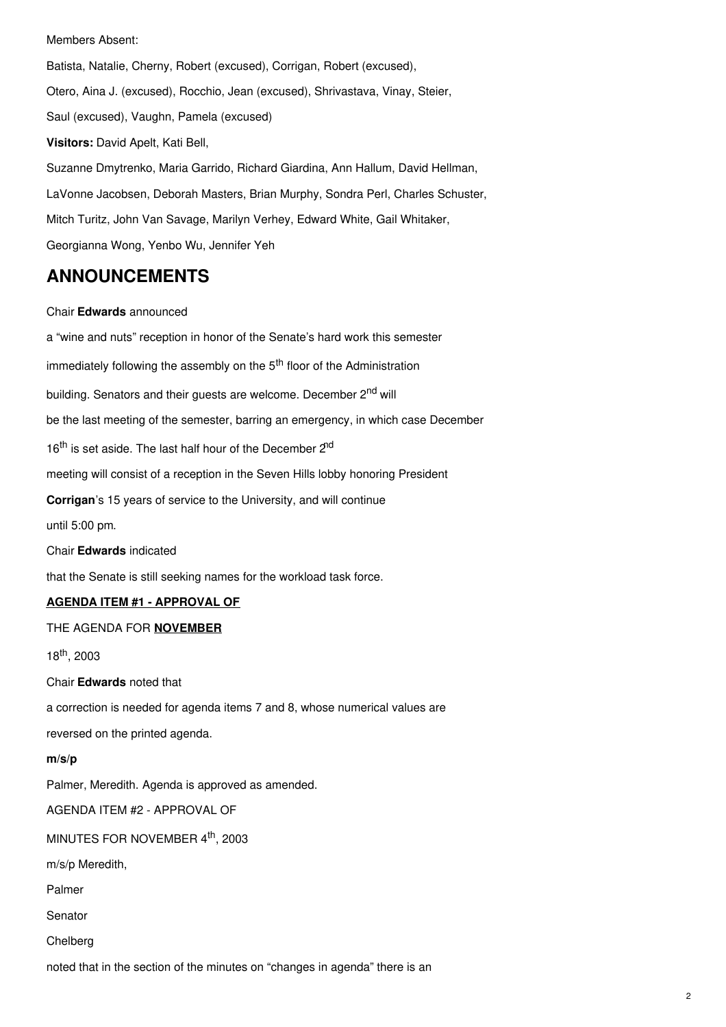## Members Absent:

Batista, Natalie, Cherny, Robert (excused), Corrigan, Robert (excused), Otero, Aina J. (excused), Rocchio, Jean (excused), Shrivastava, Vinay, Steier, Saul (excused), Vaughn, Pamela (excused) **Visitors:** David Apelt, Kati Bell, Suzanne Dmytrenko, Maria Garrido, Richard Giardina, Ann Hallum, David Hellman, LaVonne Jacobsen, Deborah Masters, Brian Murphy, Sondra Perl, Charles Schuster, Mitch Turitz, John Van Savage, Marilyn Verhey, Edward White, Gail Whitaker, Georgianna Wong, Yenbo Wu, Jennifer Yeh

## **ANNOUNCEMENTS**

## Chair **Edwards** announced

a "wine and nuts" reception in honor of the Senate's hard work this semester immediately following the assembly on the 5<sup>th</sup> floor of the Administration building. Senators and their guests are welcome. December 2<sup>nd</sup> will be the last meeting of the semester, barring an emergency, in which case December 16<sup>th</sup> is set aside. The last half hour of the December 2<sup>nd</sup> meeting will consist of a reception in the Seven Hills lobby honoring President **Corrigan**'s 15 years of service to the University, and will continue until 5:00 pm. Chair **Edwards** indicated that the Senate is still seeking names for the workload task force. **AGENDA ITEM #1 - APPROVAL OF** THE AGENDA FOR **NOVEMBER** 18<sup>th</sup>, 2003 Chair **Edwards** noted that a correction is needed for agenda items 7 and 8, whose numerical values are reversed on the printed agenda. **m/s/p** Palmer, Meredith. Agenda is approved as amended. AGENDA ITEM #2 - APPROVAL OF MINUTES FOR NOVEMBER 4<sup>th</sup>, 2003 m/s/p Meredith, Palmer Senator

Chelberg

noted that in the section of the minutes on "changes in agenda" there is an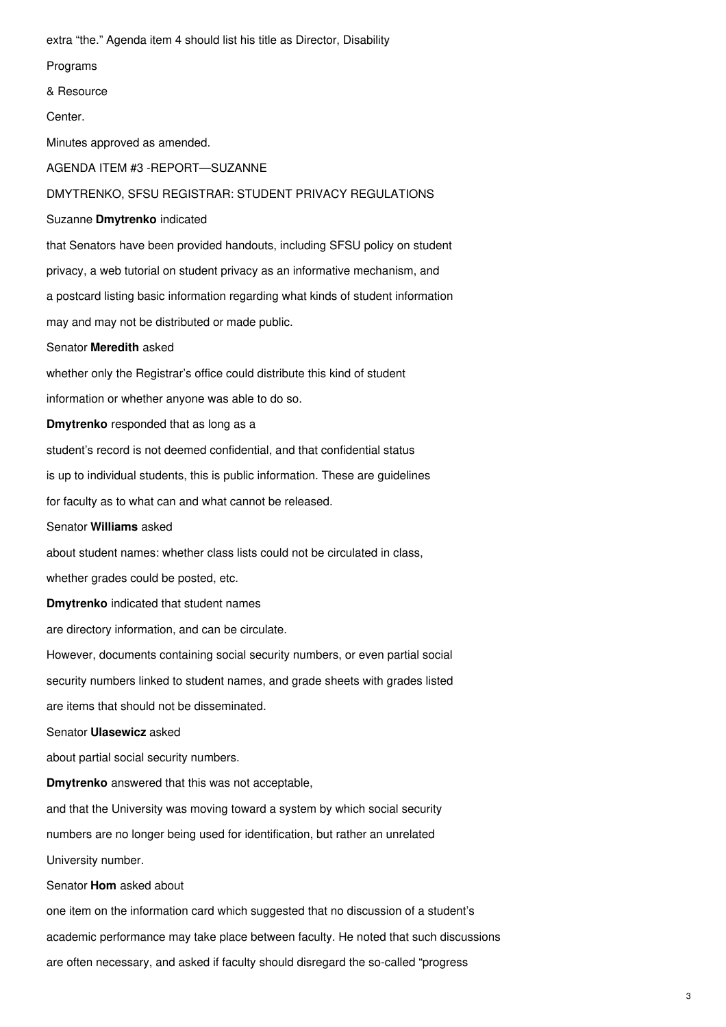extra "the." Agenda item 4 should list his title as Director, Disability

Programs

& Resource

Center.

Minutes approved as amended.

AGENDA ITEM #3 -REPORT—SUZANNE

DMYTRENKO, SFSU REGISTRAR: STUDENT PRIVACY REGULATIONS

Suzanne **Dmytrenko** indicated

that Senators have been provided handouts, including SFSU policy on student privacy, a web tutorial on student privacy as an informative mechanism, and

a postcard listing basic information regarding what kinds of student information

may and may not be distributed or made public.

Senator **Meredith** asked

whether only the Registrar's office could distribute this kind of student

information or whether anyone was able to do so.

**Dmytrenko** responded that as long as a

student's record is not deemed confidential, and that confidential status

is up to individual students, this is public information. These are guidelines

for faculty as to what can and what cannot be released.

Senator **Williams** asked

about student names: whether class lists could not be circulated in class,

whether grades could be posted, etc.

**Dmytrenko** indicated that student names

are directory information, and can be circulate.

However, documents containing social security numbers, or even partial social security numbers linked to student names, and grade sheets with grades listed are items that should not be disseminated.

Senator **Ulasewicz** asked

about partial social security numbers.

**Dmytrenko** answered that this was not acceptable,

and that the University was moving toward a system by which social security

numbers are no longer being used for identification, but rather an unrelated

University number.

Senator **Hom** asked about

one item on the information card which suggested that no discussion of a student's academic performance may take place between faculty. He noted that such discussions are often necessary, and asked if faculty should disregard the so-called "progress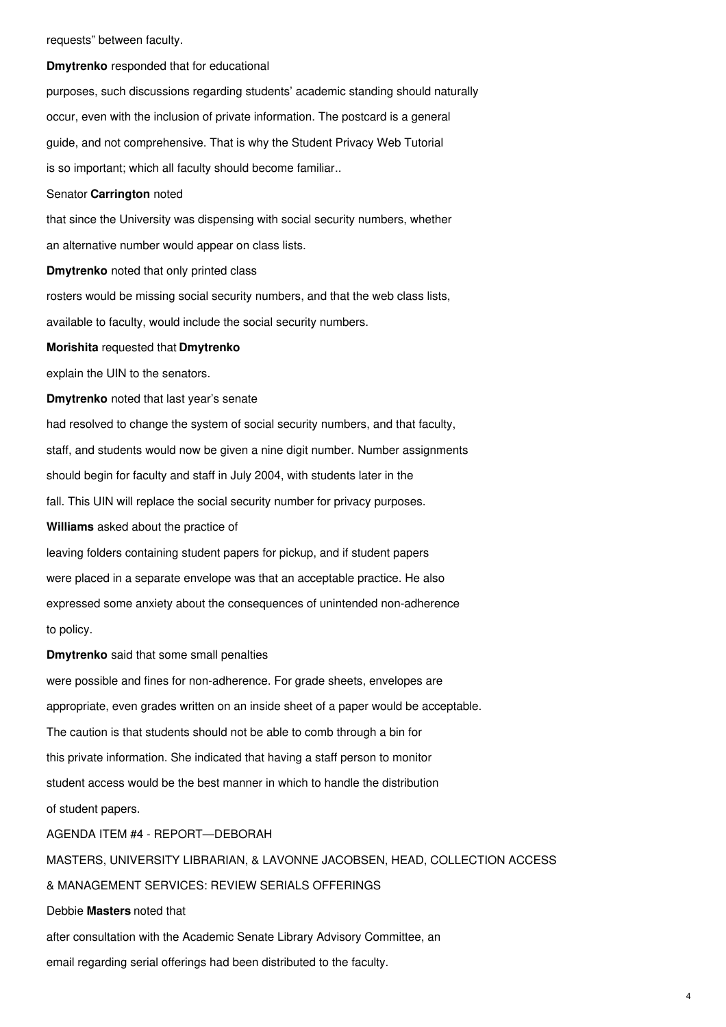#### requests" between faculty.

## **Dmytrenko** responded that for educational

purposes, such discussions regarding students' academic standing should naturally occur, even with the inclusion of private information. The postcard is a general guide, and not comprehensive. That is why the Student Privacy Web Tutorial is so important; which all faculty should become familiar..

## Senator **Carrington** noted

that since the University was dispensing with social security numbers, whether an alternative number would appear on class lists.

### **Dmytrenko** noted that only printed class

rosters would be missing social security numbers, and that the web class lists,

available to faculty, would include the social security numbers.

### **Morishita** requested that **Dmytrenko**

explain the UIN to the senators.

**Dmytrenko** noted that last year's senate

had resolved to change the system of social security numbers, and that faculty,

staff, and students would now be given a nine digit number. Number assignments

should begin for faculty and staff in July 2004, with students later in the

fall. This UIN will replace the social security number for privacy purposes.

**Williams** asked about the practice of

leaving folders containing student papers for pickup, and if student papers were placed in a separate envelope was that an acceptable practice. He also expressed some anxiety about the consequences of unintended non-adherence to policy.

**Dmytrenko** said that some small penalties

were possible and fines for non-adherence. For grade sheets, envelopes are appropriate, even grades written on an inside sheet of a paper would be acceptable. The caution is that students should not be able to comb through a bin for this private information. She indicated that having a staff person to monitor student access would be the best manner in which to handle the distribution of student papers. AGENDA ITEM #4 - REPORT—DEBORAH

MASTERS, UNIVERSITY LIBRARIAN, & LAVONNE JACOBSEN, HEAD, COLLECTION ACCESS

## & MANAGEMENT SERVICES: REVIEW SERIALS OFFERINGS

Debbie **Masters** noted that

after consultation with the Academic Senate Library Advisory Committee, an

email regarding serial offerings had been distributed to the faculty.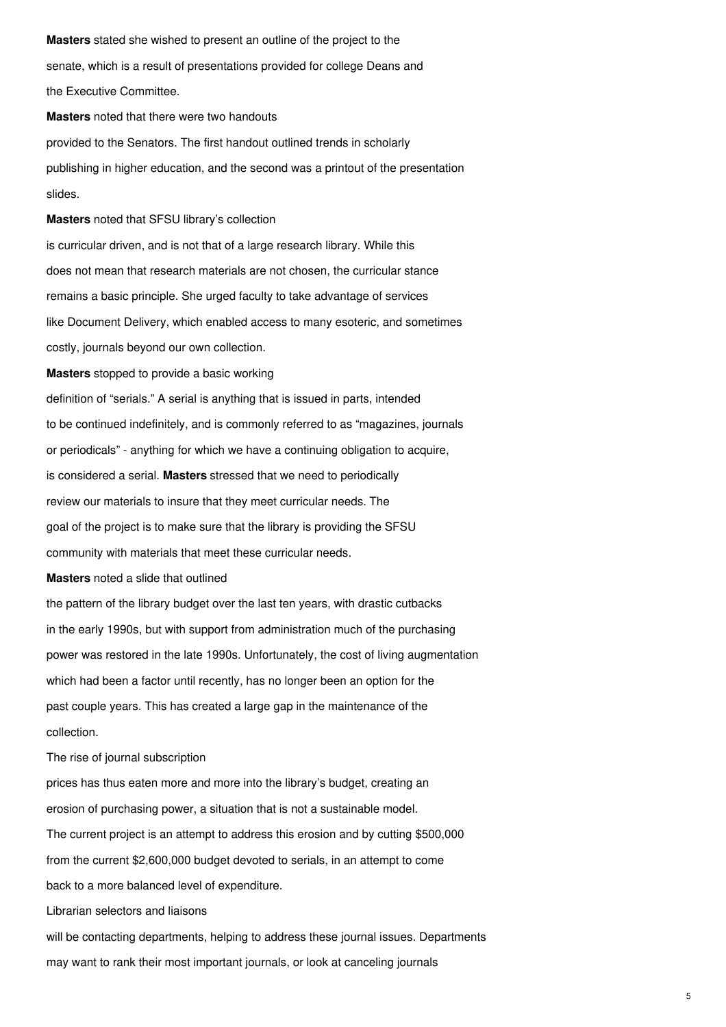**Masters** stated she wished to present an outline of the project to the senate, which is a result of presentations provided for college Deans and the Executive Committee.

**Masters** noted that there were two handouts provided to the Senators. The first handout outlined trends in scholarly publishing in higher education, and the second was a printout of the presentation slides.

**Masters** noted that SFSU library's collection

is curricular driven, and is not that of a large research library. While this does not mean that research materials are not chosen, the curricular stance remains a basic principle. She urged faculty to take advantage of services like Document Delivery, which enabled access to many esoteric, and sometimes costly, journals beyond our own collection.

**Masters** stopped to provide a basic working

definition of "serials." A serial is anything that is issued in parts, intended to be continued indefinitely, and is commonly referred to as "magazines, journals or periodicals" - anything for which we have a continuing obligation to acquire, is considered a serial. **Masters** stressed that we need to periodically review our materials to insure that they meet curricular needs. The goal of the project is to make sure that the library is providing the SFSU community with materials that meet these curricular needs.

**Masters** noted a slide that outlined

the pattern of the library budget over the last ten years, with drastic cutbacks in the early 1990s, but with support from administration much of the purchasing power was restored in the late 1990s. Unfortunately, the cost of living augmentation which had been a factor until recently, has no longer been an option for the past couple years. This has created a large gap in the maintenance of the collection.

The rise of journal subscription

prices has thus eaten more and more into the library's budget, creating an erosion of purchasing power, a situation that is not a sustainable model. The current project is an attempt to address this erosion and by cutting \$500,000 from the current \$2,600,000 budget devoted to serials, in an attempt to come back to a more balanced level of expenditure.

Librarian selectors and liaisons

will be contacting departments, helping to address these journal issues. Departments may want to rank their most important journals, or look at canceling journals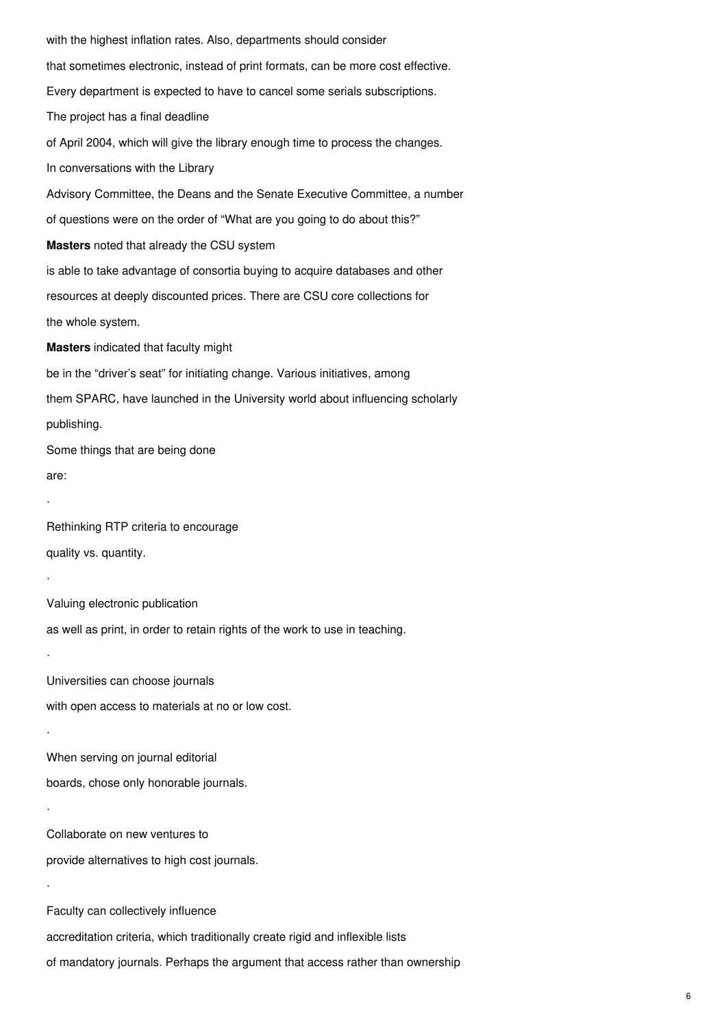with the highest inflation rates. Also, departments should consider that sometimes electronic, instead of print formats, can be more cost effective. Every department is expected to have to cancel some serials subscriptions. The project has a final deadline of April 2004, which will give the library enough time to process the changes. In conversations with the Library Advisory Committee, the Deans and the Senate Executive Committee, a number of questions were on the order of "What are you going to do about this?" **Masters** noted that already the CSU system is able to take advantage of consortia buying to acquire databases and other resources at deeply discounted prices. There are CSU core collections for the whole system. **Masters** indicated that faculty might be in the "driver's seat" for initiating change. Various initiatives, among them SPARC, have launched in the University world about influencing scholarly publishing. Some things that are being done are: · Rethinking RTP criteria to encourage quality vs. quantity. · Valuing electronic publication as well as print, in order to retain rights of the work to use in teaching. · Universities can choose journals with open access to materials at no or low cost. · When serving on journal editorial boards, chose only honorable journals. · Collaborate on new ventures to provide alternatives to high cost journals. · Faculty can collectively influence accreditation criteria, which traditionally create rigid and inflexible lists of mandatory journals. Perhaps the argument that access rather than ownership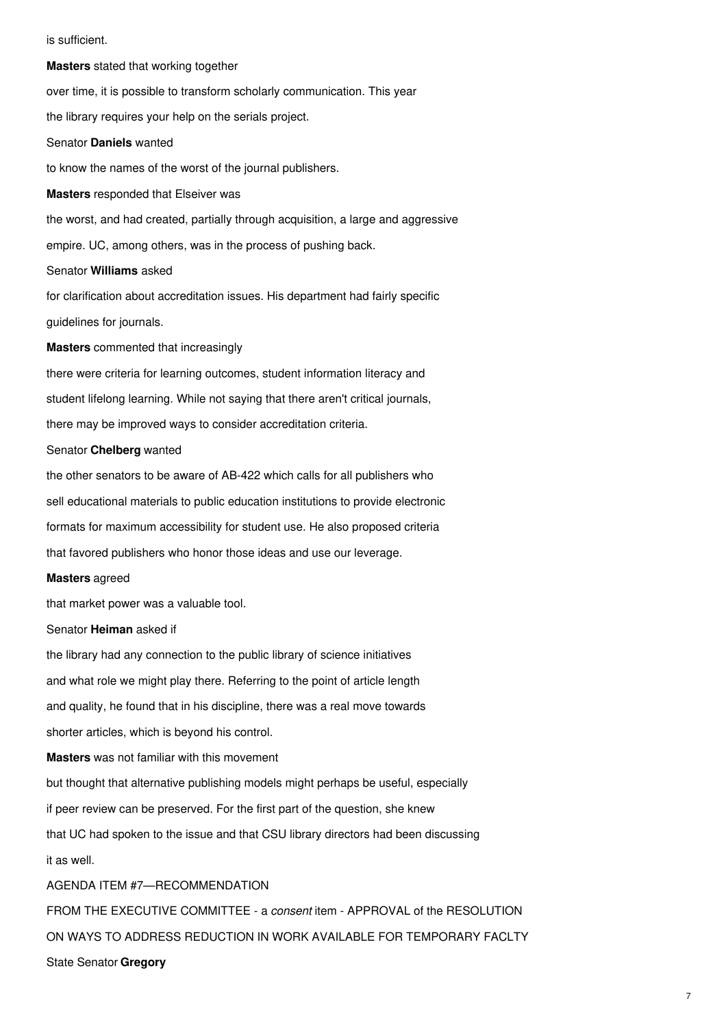is sufficient.

**Masters** stated that working together over time, it is possible to transform scholarly communication. This year the library requires your help on the serials project. Senator **Daniels** wanted to know the names of the worst of the journal publishers. **Masters** responded that Elseiver was the worst, and had created, partially through acquisition, a large and aggressive empire. UC, among others, was in the process of pushing back. Senator **Williams** asked for clarification about accreditation issues. His department had fairly specific guidelines for journals. **Masters** commented that increasingly there were criteria for learning outcomes, student information literacy and student lifelong learning. While not saying that there aren't critical journals, there may be improved ways to consider accreditation criteria. Senator **Chelberg** wanted the other senators to be aware of AB-422 which calls for all publishers who sell educational materials to public education institutions to provide electronic formats for maximum accessibility for student use. He also proposed criteria that favored publishers who honor those ideas and use our leverage. **Masters** agreed that market power was a valuable tool. Senator **Heiman** asked if the library had any connection to the public library of science initiatives and what role we might play there. Referring to the point of article length and quality, he found that in his discipline, there was a real move towards shorter articles, which is beyond his control. **Masters** was not familiar with this movement but thought that alternative publishing models might perhaps be useful, especially if peer review can be preserved. For the first part of the question, she knew that UC had spoken to the issue and that CSU library directors had been discussing it as well. AGENDA ITEM #7—RECOMMENDATION FROM THE EXECUTIVE COMMITTEE - a *consent* item - APPROVAL of the RESOLUTION ON WAYS TO ADDRESS REDUCTION IN WORK AVAILABLE FOR TEMPORARY FACLTY

State Senator **Gregory**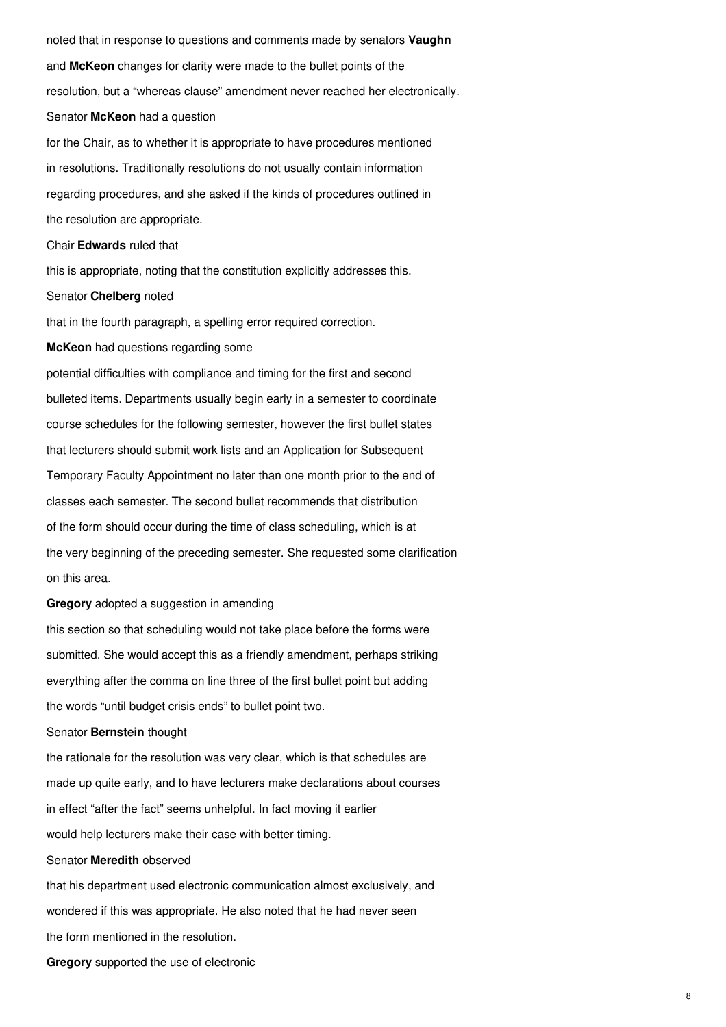noted that in response to questions and comments made by senators **Vaughn** and **McKeon** changes for clarity were made to the bullet points of the resolution, but a "whereas clause" amendment never reached her electronically. Senator **McKeon** had a question for the Chair, as to whether it is appropriate to have procedures mentioned in resolutions. Traditionally resolutions do not usually contain information

regarding procedures, and she asked if the kinds of procedures outlined in the resolution are appropriate.

#### Chair **Edwards** ruled that

this is appropriate, noting that the constitution explicitly addresses this.

#### Senator **Chelberg** noted

that in the fourth paragraph, a spelling error required correction.

**McKeon** had questions regarding some

potential difficulties with compliance and timing for the first and second bulleted items. Departments usually begin early in a semester to coordinate course schedules for the following semester, however the first bullet states that lecturers should submit work lists and an Application for Subsequent Temporary Faculty Appointment no later than one month prior to the end of classes each semester. The second bullet recommends that distribution of the form should occur during the time of class scheduling, which is at the very beginning of the preceding semester. She requested some clarification on this area.

## **Gregory** adopted a suggestion in amending

this section so that scheduling would not take place before the forms were submitted. She would accept this as a friendly amendment, perhaps striking everything after the comma on line three of the first bullet point but adding the words "until budget crisis ends" to bullet point two.

#### Senator **Bernstein** thought

the rationale for the resolution was very clear, which is that schedules are made up quite early, and to have lecturers make declarations about courses in effect "after the fact" seems unhelpful. In fact moving it earlier would help lecturers make their case with better timing.

## Senator **Meredith** observed

that his department used electronic communication almost exclusively, and wondered if this was appropriate. He also noted that he had never seen the form mentioned in the resolution.

**Gregory** supported the use of electronic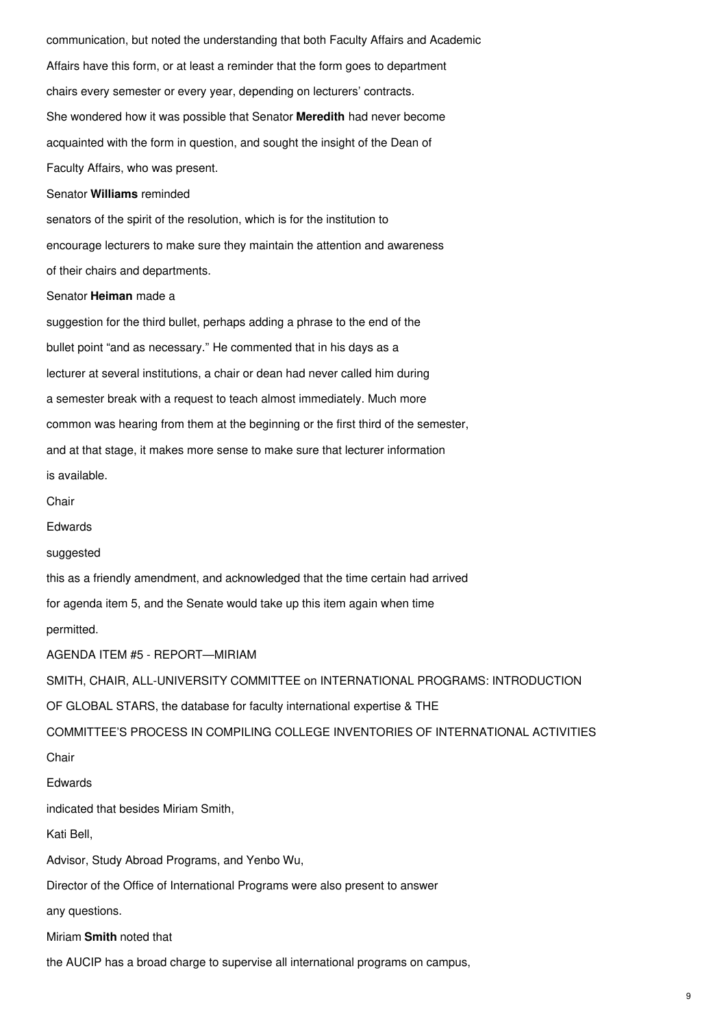communication, but noted the understanding that both Faculty Affairs and Academic Affairs have this form, or at least a reminder that the form goes to department chairs every semester or every year, depending on lecturers' contracts. She wondered how it was possible that Senator **Meredith** had never become acquainted with the form in question, and sought the insight of the Dean of Faculty Affairs, who was present. Senator **Williams** reminded senators of the spirit of the resolution, which is for the institution to encourage lecturers to make sure they maintain the attention and awareness of their chairs and departments. Senator **Heiman** made a suggestion for the third bullet, perhaps adding a phrase to the end of the bullet point "and as necessary." He commented that in his days as a lecturer at several institutions, a chair or dean had never called him during a semester break with a request to teach almost immediately. Much more common was hearing from them at the beginning or the first third of the semester, and at that stage, it makes more sense to make sure that lecturer information is available. Chair Edwards suggested this as a friendly amendment, and acknowledged that the time certain had arrived for agenda item 5, and the Senate would take up this item again when time permitted.

AGENDA ITEM #5 - REPORT—MIRIAM

SMITH, CHAIR, ALL-UNIVERSITY COMMITTEE on INTERNATIONAL PROGRAMS: INTRODUCTION

OF GLOBAL STARS, the database for faculty international expertise & THE

COMMITTEE'S PROCESS IN COMPILING COLLEGE INVENTORIES OF INTERNATIONAL ACTIVITIES

Chair

Edwards

indicated that besides Miriam Smith,

Kati Bell,

Advisor, Study Abroad Programs, and Yenbo Wu,

Director of the Office of International Programs were also present to answer

any questions.

Miriam **Smith** noted that

the AUCIP has a broad charge to supervise all international programs on campus,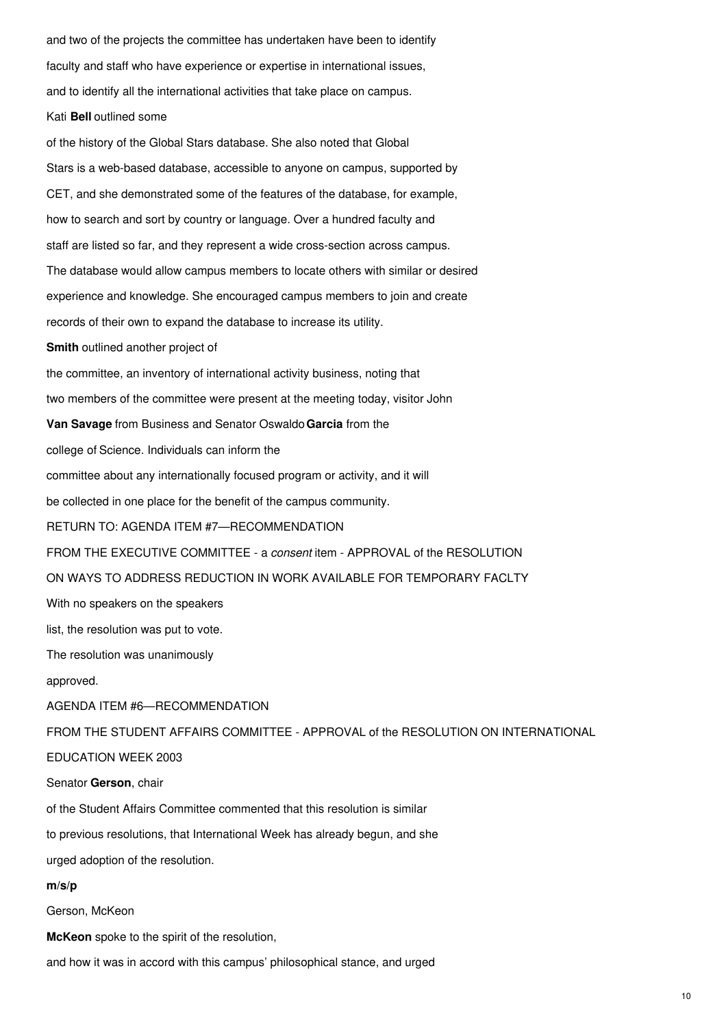and two of the projects the committee has undertaken have been to identify faculty and staff who have experience or expertise in international issues, and to identify all the international activities that take place on campus. Kati **Bell** outlined some of the history of the Global Stars database. She also noted that Global Stars is a web-based database, accessible to anyone on campus, supported by CET, and she demonstrated some of the features of the database, for example, how to search and sort by country or language. Over a hundred faculty and

The database would allow campus members to locate others with similar or desired experience and knowledge. She encouraged campus members to join and create

staff are listed so far, and they represent a wide cross-section across campus.

records of their own to expand the database to increase its utility.

**Smith** outlined another project of

the committee, an inventory of international activity business, noting that

two members of the committee were present at the meeting today, visitor John

**Van Savage** from Business and Senator Oswaldo**Garcia** from the

college of Science. Individuals can inform the

committee about any internationally focused program or activity, and it will

be collected in one place for the benefit of the campus community.

RETURN TO: AGENDA ITEM #7—RECOMMENDATION

FROM THE EXECUTIVE COMMITTEE - a *consent* item - APPROVAL of the RESOLUTION

ON WAYS TO ADDRESS REDUCTION IN WORK AVAILABLE FOR TEMPORARY FACLTY

With no speakers on the speakers

list, the resolution was put to vote.

The resolution was unanimously

approved.

AGENDA ITEM #6—RECOMMENDATION

FROM THE STUDENT AFFAIRS COMMITTEE - APPROVAL of the RESOLUTION ON INTERNATIONAL

## EDUCATION WEEK 2003

Senator **Gerson**, chair

of the Student Affairs Committee commented that this resolution is similar

to previous resolutions, that International Week has already begun, and she

urged adoption of the resolution.

## **m/s/p**

Gerson, McKeon

**McKeon** spoke to the spirit of the resolution,

and how it was in accord with this campus' philosophical stance, and urged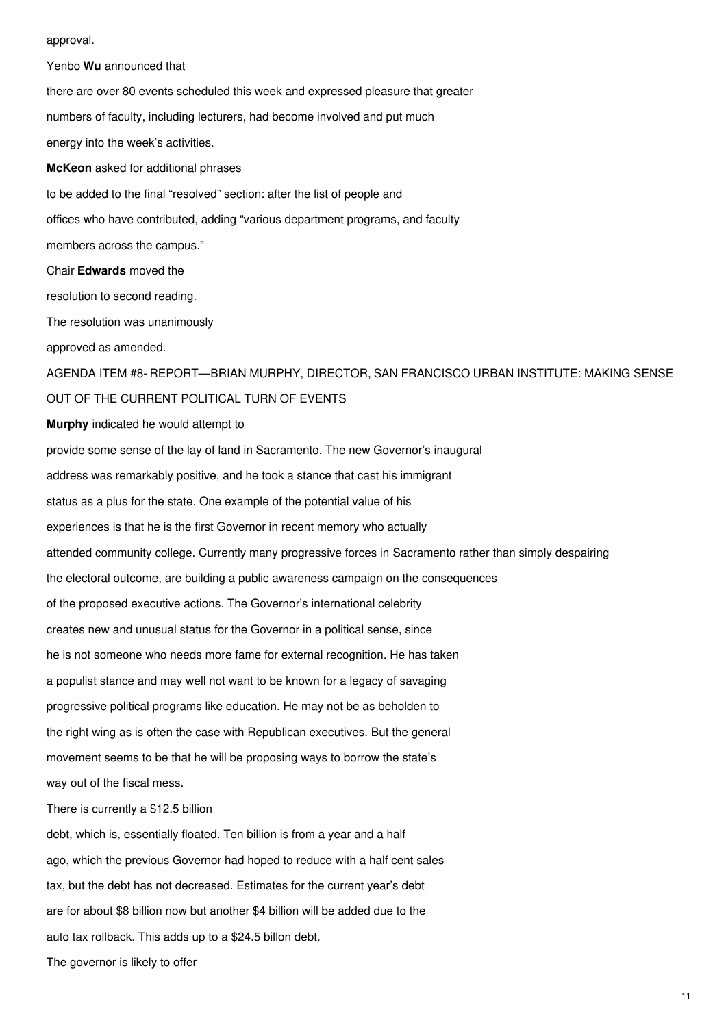approval.

Yenbo **Wu** announced that there are over 80 events scheduled this week and expressed pleasure that greater numbers of faculty, including lecturers, had become involved and put much energy into the week's activities. **McKeon** asked for additional phrases to be added to the final "resolved" section: after the list of people and offices who have contributed, adding "various department programs, and faculty members across the campus." Chair **Edwards** moved the resolution to second reading. The resolution was unanimously approved as amended. AGENDA ITEM #8- REPORT—BRIAN MURPHY, DIRECTOR, SAN FRANCISCO URBAN INSTITUTE: MAKING SENSE OUT OF THE CURRENT POLITICAL TURN OF EVENTS **Murphy** indicated he would attempt to provide some sense of the lay of land in Sacramento. The new Governor's inaugural address was remarkably positive, and he took a stance that cast his immigrant status as a plus for the state. One example of the potential value of his experiences is that he is the first Governor in recent memory who actually attended community college. Currently many progressive forces in Sacramento rather than simply despairing the electoral outcome, are building a public awareness campaign on the consequences of the proposed executive actions. The Governor's international celebrity creates new and unusual status for the Governor in a political sense, since he is not someone who needs more fame for external recognition. He has taken a populist stance and may well not want to be known for a legacy of savaging progressive political programs like education. He may not be as beholden to the right wing as is often the case with Republican executives. But the general movement seems to be that he will be proposing ways to borrow the state's way out of the fiscal mess. There is currently a \$12.5 billion debt, which is, essentially floated. Ten billion is from a year and a half ago, which the previous Governor had hoped to reduce with a half cent sales tax, but the debt has not decreased. Estimates for the current year's debt are for about \$8 billion now but another \$4 billion will be added due to the auto tax rollback. This adds up to a \$24.5 billon debt.

The governor is likely to offer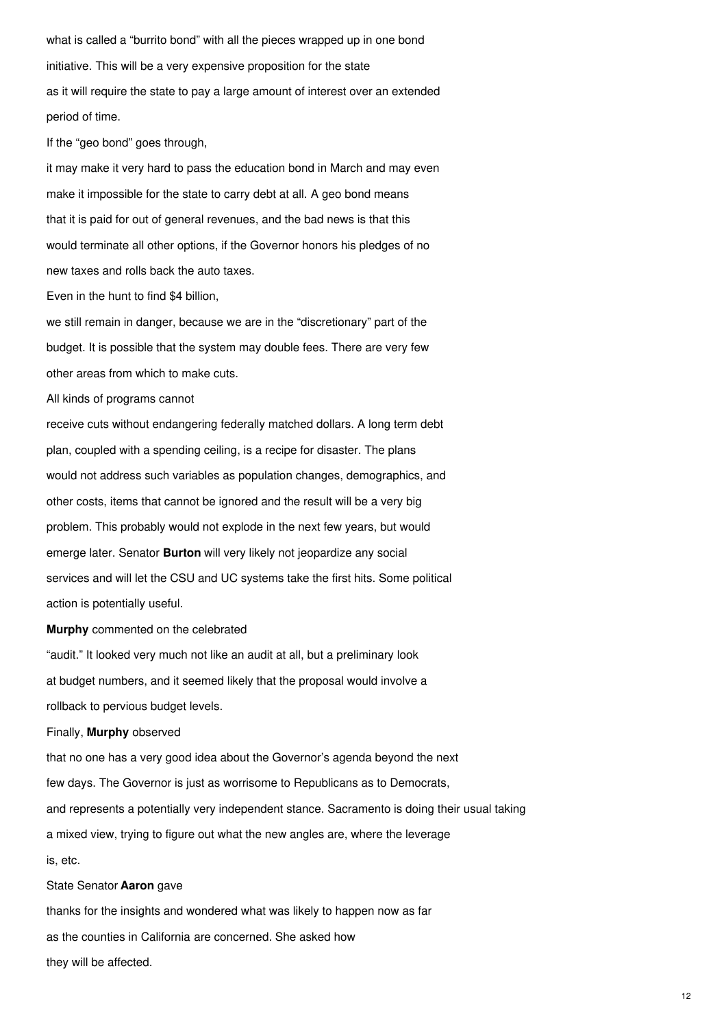what is called a "burrito bond" with all the pieces wrapped up in one bond initiative. This will be a very expensive proposition for the state as it will require the state to pay a large amount of interest over an extended period of time.

If the "geo bond" goes through,

it may make it very hard to pass the education bond in March and may even make it impossible for the state to carry debt at all. A geo bond means that it is paid for out of general revenues, and the bad news is that this would terminate all other options, if the Governor honors his pledges of no new taxes and rolls back the auto taxes.

Even in the hunt to find \$4 billion,

we still remain in danger, because we are in the "discretionary" part of the budget. It is possible that the system may double fees. There are very few other areas from which to make cuts.

All kinds of programs cannot

receive cuts without endangering federally matched dollars. A long term debt plan, coupled with a spending ceiling, is a recipe for disaster. The plans would not address such variables as population changes, demographics, and other costs, items that cannot be ignored and the result will be a very big problem. This probably would not explode in the next few years, but would emerge later. Senator **Burton** will very likely not jeopardize any social services and will let the CSU and UC systems take the first hits. Some political action is potentially useful.

#### **Murphy** commented on the celebrated

"audit." It looked very much not like an audit at all, but a preliminary look at budget numbers, and it seemed likely that the proposal would involve a rollback to pervious budget levels.

### Finally, **Murphy** observed

that no one has a very good idea about the Governor's agenda beyond the next few days. The Governor is just as worrisome to Republicans as to Democrats, and represents a potentially very independent stance. Sacramento is doing their usual taking a mixed view, trying to figure out what the new angles are, where the leverage is, etc.

#### State Senator **Aaron** gave

thanks for the insights and wondered what was likely to happen now as far as the counties in California are concerned. She asked how they will be affected.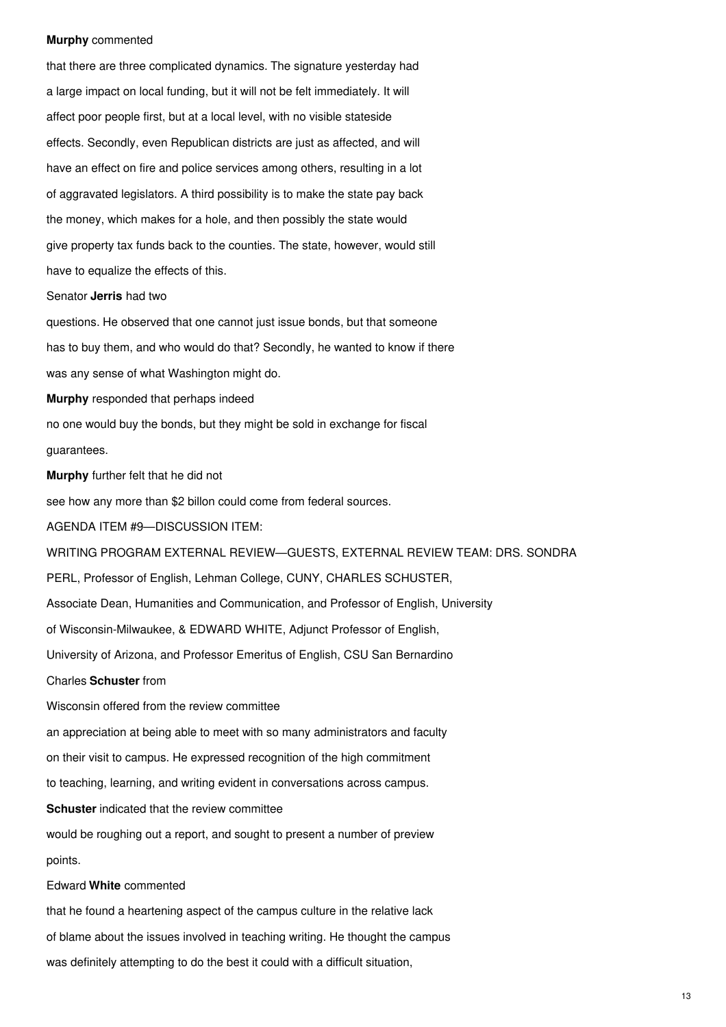#### **Murphy** commented

that there are three complicated dynamics. The signature yesterday had a large impact on local funding, but it will not be felt immediately. It will affect poor people first, but at a local level, with no visible stateside effects. Secondly, even Republican districts are just as affected, and will have an effect on fire and police services among others, resulting in a lot of aggravated legislators. A third possibility is to make the state pay back the money, which makes for a hole, and then possibly the state would give property tax funds back to the counties. The state, however, would still have to equalize the effects of this.

#### Senator **Jerris** had two

questions. He observed that one cannot just issue bonds, but that someone has to buy them, and who would do that? Secondly, he wanted to know if there was any sense of what Washington might do.

**Murphy** responded that perhaps indeed

no one would buy the bonds, but they might be sold in exchange for fiscal

guarantees.

**Murphy** further felt that he did not

see how any more than \$2 billon could come from federal sources.

AGENDA ITEM #9—DISCUSSION ITEM:

WRITING PROGRAM EXTERNAL REVIEW—GUESTS, EXTERNAL REVIEW TEAM: DRS. SONDRA

PERL, Professor of English, Lehman College, CUNY, CHARLES SCHUSTER,

Associate Dean, Humanities and Communication, and Professor of English, University

of Wisconsin-Milwaukee, & EDWARD WHITE, Adjunct Professor of English,

University of Arizona, and Professor Emeritus of English, CSU San Bernardino

Charles **Schuster** from

Wisconsin offered from the review committee

an appreciation at being able to meet with so many administrators and faculty

on their visit to campus. He expressed recognition of the high commitment

to teaching, learning, and writing evident in conversations across campus.

**Schuster** indicated that the review committee

would be roughing out a report, and sought to present a number of preview points.

## Edward **White** commented

that he found a heartening aspect of the campus culture in the relative lack of blame about the issues involved in teaching writing. He thought the campus was definitely attempting to do the best it could with a difficult situation,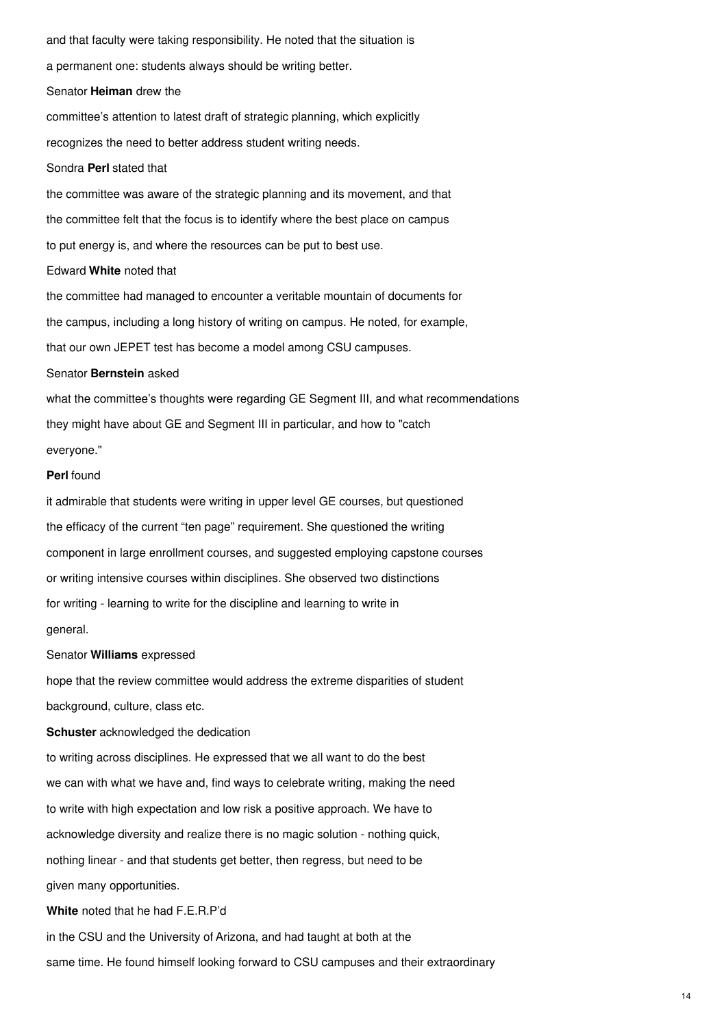and that faculty were taking responsibility. He noted that the situation is a permanent one: students always should be writing better. Senator **Heiman** drew the committee's attention to latest draft of strategic planning, which explicitly recognizes the need to better address student writing needs. Sondra **Perl** stated that the committee was aware of the strategic planning and its movement, and that the committee felt that the focus is to identify where the best place on campus to put energy is, and where the resources can be put to best use. Edward **White** noted that

the committee had managed to encounter a veritable mountain of documents for the campus, including a long history of writing on campus. He noted, for example, that our own JEPET test has become a model among CSU campuses.

#### Senator **Bernstein** asked

what the committee's thoughts were regarding GE Segment III, and what recommendations they might have about GE and Segment III in particular, and how to "catch everyone."

### **Perl** found

it admirable that students were writing in upper level GE courses, but questioned the efficacy of the current "ten page" requirement. She questioned the writing component in large enrollment courses, and suggested employing capstone courses or writing intensive courses within disciplines. She observed two distinctions for writing - learning to write for the discipline and learning to write in general.

#### Senator **Williams** expressed

hope that the review committee would address the extreme disparities of student background, culture, class etc.

### **Schuster** acknowledged the dedication

to writing across disciplines. He expressed that we all want to do the best we can with what we have and, find ways to celebrate writing, making the need to write with high expectation and low risk a positive approach. We have to acknowledge diversity and realize there is no magic solution - nothing quick, nothing linear - and that students get better, then regress, but need to be given many opportunities.

## **White** noted that he had F.E.R.P'd

in the CSU and the University of Arizona, and had taught at both at the same time. He found himself looking forward to CSU campuses and their extraordinary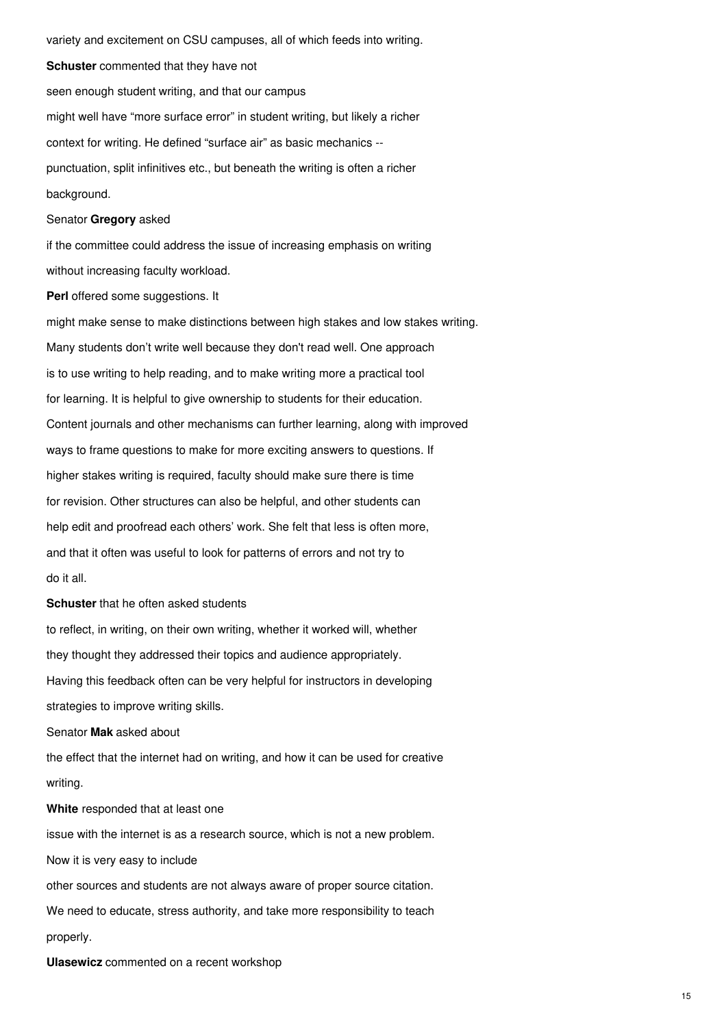variety and excitement on CSU campuses, all of which feeds into writing. **Schuster** commented that they have not seen enough student writing, and that our campus might well have "more surface error" in student writing, but likely a richer context for writing. He defined "surface air" as basic mechanics - punctuation, split infinitives etc., but beneath the writing is often a richer background.

## Senator **Gregory** asked

if the committee could address the issue of increasing emphasis on writing without increasing faculty workload.

### **Perl** offered some suggestions. It

might make sense to make distinctions between high stakes and low stakes writing. Many students don't write well because they don't read well. One approach is to use writing to help reading, and to make writing more a practical tool for learning. It is helpful to give ownership to students for their education. Content journals and other mechanisms can further learning, along with improved ways to frame questions to make for more exciting answers to questions. If higher stakes writing is required, faculty should make sure there is time for revision. Other structures can also be helpful, and other students can help edit and proofread each others' work. She felt that less is often more, and that it often was useful to look for patterns of errors and not try to do it all.

#### **Schuster** that he often asked students

to reflect, in writing, on their own writing, whether it worked will, whether they thought they addressed their topics and audience appropriately. Having this feedback often can be very helpful for instructors in developing strategies to improve writing skills.

Senator **Mak** asked about

the effect that the internet had on writing, and how it can be used for creative writing.

## **White** responded that at least one

issue with the internet is as a research source, which is not a new problem.

Now it is very easy to include

other sources and students are not always aware of proper source citation.

We need to educate, stress authority, and take more responsibility to teach properly.

**Ulasewicz** commented on a recent workshop